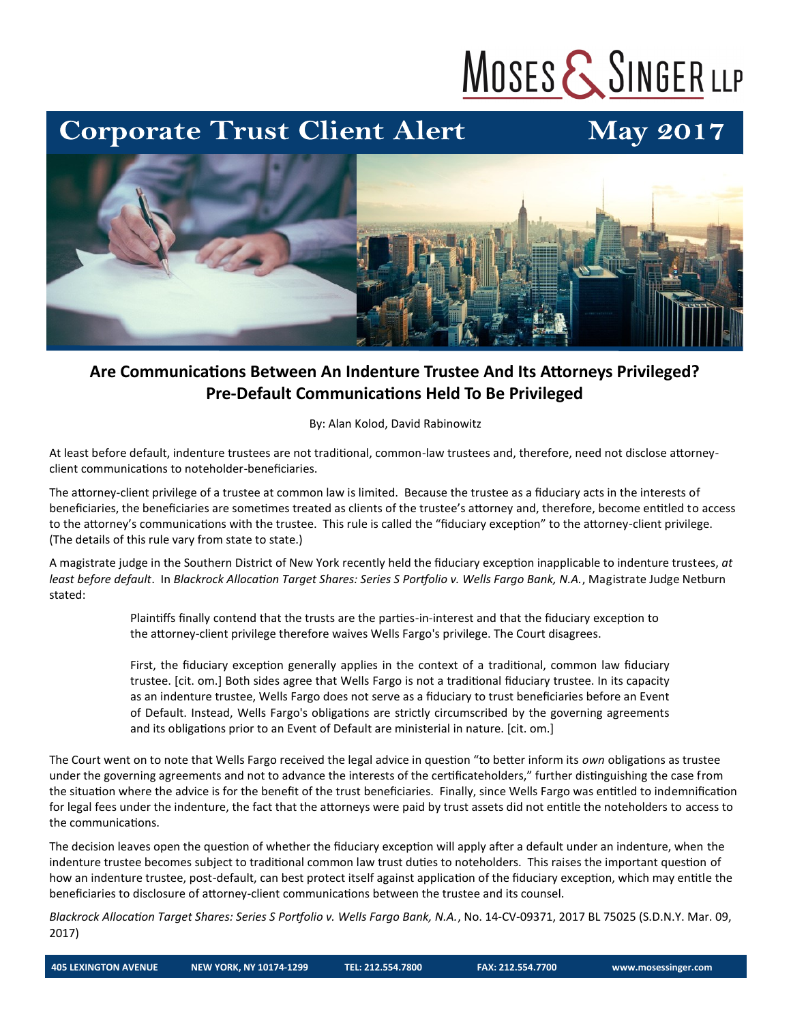# MOSES & SINGER LLP

### **Corporate Trust Client Alert**

## **May 2017**



#### **Are Communications Between An Indenture Trustee And Its Attorneys Privileged? Pre-Default Communications Held To Be Privileged**

By: Alan Kolod, David Rabinowitz

At least before default, indenture trustees are not traditional, common-law trustees and, therefore, need not disclose attorneyclient communications to noteholder-beneficiaries.

The attorney-client privilege of a trustee at common law is limited. Because the trustee as a fiduciary acts in the interests of beneficiaries, the beneficiaries are sometimes treated as clients of the trustee's attorney and, therefore, become entitled to access to the attorney's communications with the trustee. This rule is called the "fiduciary exception" to the attorney-client privilege. (The details of this rule vary from state to state.)

A magistrate judge in the Southern District of New York recently held the fiduciary exception inapplicable to indenture trustees, *at least before default*. In *Blackrock Allocation Target Shares: Series S Portfolio v. Wells Fargo Bank, N.A.*, Magistrate Judge Netburn stated:

> Plaintiffs finally contend that the trusts are the parties-in-interest and that the fiduciary exception to the attorney-client privilege therefore waives Wells Fargo's privilege. The Court disagrees.

First, the fiduciary exception generally applies in the context of a traditional, common law fiduciary trustee. [cit. om.] Both sides agree that Wells Fargo is not a traditional fiduciary trustee. In its capacity as an indenture trustee, Wells Fargo does not serve as a fiduciary to trust beneficiaries before an Event of Default. Instead, Wells Fargo's obligations are strictly circumscribed by the governing agreements and its obligations prior to an Event of Default are ministerial in nature. [cit. om.]

The Court went on to note that Wells Fargo received the legal advice in question "to better inform its *own* obligations as trustee under the governing agreements and not to advance the interests of the certificateholders," further distinguishing the case from the situation where the advice is for the benefit of the trust beneficiaries. Finally, since Wells Fargo was entitled to indemnification for legal fees under the indenture, the fact that the attorneys were paid by trust assets did not entitle the noteholders to access to the communications.

The decision leaves open the question of whether the fiduciary exception will apply after a default under an indenture, when the indenture trustee becomes subject to traditional common law trust duties to noteholders. This raises the important question of how an indenture trustee, post-default, can best protect itself against application of the fiduciary exception, which may entitle the beneficiaries to disclosure of attorney-client communications between the trustee and its counsel.

*Blackrock Allocation Target Shares: Series S Portfolio v. Wells Fargo Bank, N.A.*, No. 14-CV-09371, 2017 BL 75025 (S.D.N.Y. Mar. 09, 2017)